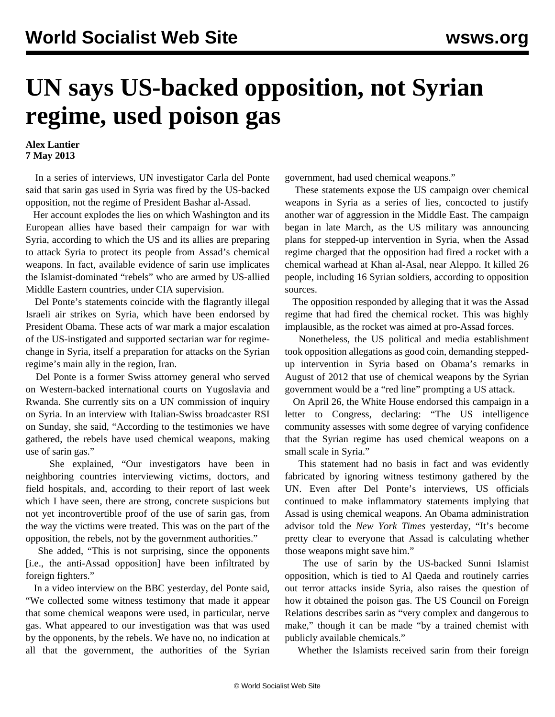## **UN says US-backed opposition, not Syrian regime, used poison gas**

## **Alex Lantier 7 May 2013**

 In a series of interviews, UN investigator Carla del Ponte said that sarin gas used in Syria was fired by the US-backed opposition, not the regime of President Bashar al-Assad.

 Her account explodes the lies on which Washington and its European allies have based their campaign for war with Syria, according to which the US and its allies are preparing to attack Syria to protect its people from Assad's chemical weapons. In fact, available evidence of sarin use implicates the Islamist-dominated "rebels" who are armed by US-allied Middle Eastern countries, under CIA supervision.

 Del Ponte's statements coincide with the flagrantly illegal Israeli air strikes on Syria, which have been endorsed by President Obama. These acts of war mark a major escalation of the US-instigated and supported sectarian war for regimechange in Syria, itself a preparation for attacks on the Syrian regime's main ally in the region, Iran.

 Del Ponte is a former Swiss attorney general who served on Western-backed international courts on Yugoslavia and Rwanda. She currently sits on a UN commission of inquiry on Syria. In an interview with Italian-Swiss broadcaster RSI on Sunday, she said, "According to the testimonies we have gathered, the rebels have used chemical weapons, making use of sarin gas."

 She explained, "Our investigators have been in neighboring countries interviewing victims, doctors, and field hospitals, and, according to their report of last week which I have seen, there are strong, concrete suspicions but not yet incontrovertible proof of the use of sarin gas, from the way the victims were treated. This was on the part of the opposition, the rebels, not by the government authorities."

 She added, "This is not surprising, since the opponents [i.e., the anti-Assad opposition] have been infiltrated by foreign fighters."

 In a [video interview](http://www.bbc.co.uk/news/world-middle-east-22424188) on the BBC yesterday, del Ponte said, "We collected some witness testimony that made it appear that some chemical weapons were used, in particular, nerve gas. What appeared to our investigation was that was used by the opponents, by the rebels. We have no, no indication at all that the government, the authorities of the Syrian government, had used chemical weapons."

 These statements expose the US campaign over chemical weapons in Syria as a series of lies, concocted to justify another war of aggression in the Middle East. The campaign began in late March, as the US military was announcing plans for stepped-up intervention in Syria, when the Assad regime charged that the opposition had fired a rocket with a chemical warhead at Khan al-Asal, near Aleppo. It killed 26 people, including 16 Syrian soldiers, according to opposition sources.

 The opposition responded by alleging that it was the Assad regime that had fired the chemical rocket. This was highly implausible, as the rocket was aimed at pro-Assad forces.

 Nonetheless, the US political and media establishment took opposition allegations as good coin, demanding steppedup intervention in Syria based on Obama's remarks in August of 2012 that use of chemical weapons by the Syrian government would be a "red line" prompting a US attack.

 On April 26, the White House endorsed this campaign in a letter to Congress, declaring: "The US intelligence community assesses with some degree of varying confidence that the Syrian regime has used chemical weapons on a small scale in Syria."

 This statement had no basis in fact and was evidently fabricated by ignoring witness testimony gathered by the UN. Even after Del Ponte's interviews, US officials continued to make inflammatory statements implying that Assad is using chemical weapons. An Obama administration advisor told the *New York Times* yesterday, "It's become pretty clear to everyone that Assad is calculating whether those weapons might save him."

 The use of sarin by the US-backed Sunni Islamist opposition, which is tied to Al Qaeda and routinely carries out terror attacks inside Syria, also raises the question of how it obtained the poison gas. The US Council on Foreign Relations describes sarin as "very complex and dangerous to make," though it can be made "by a trained chemist with publicly available chemicals."

Whether the Islamists received sarin from their foreign